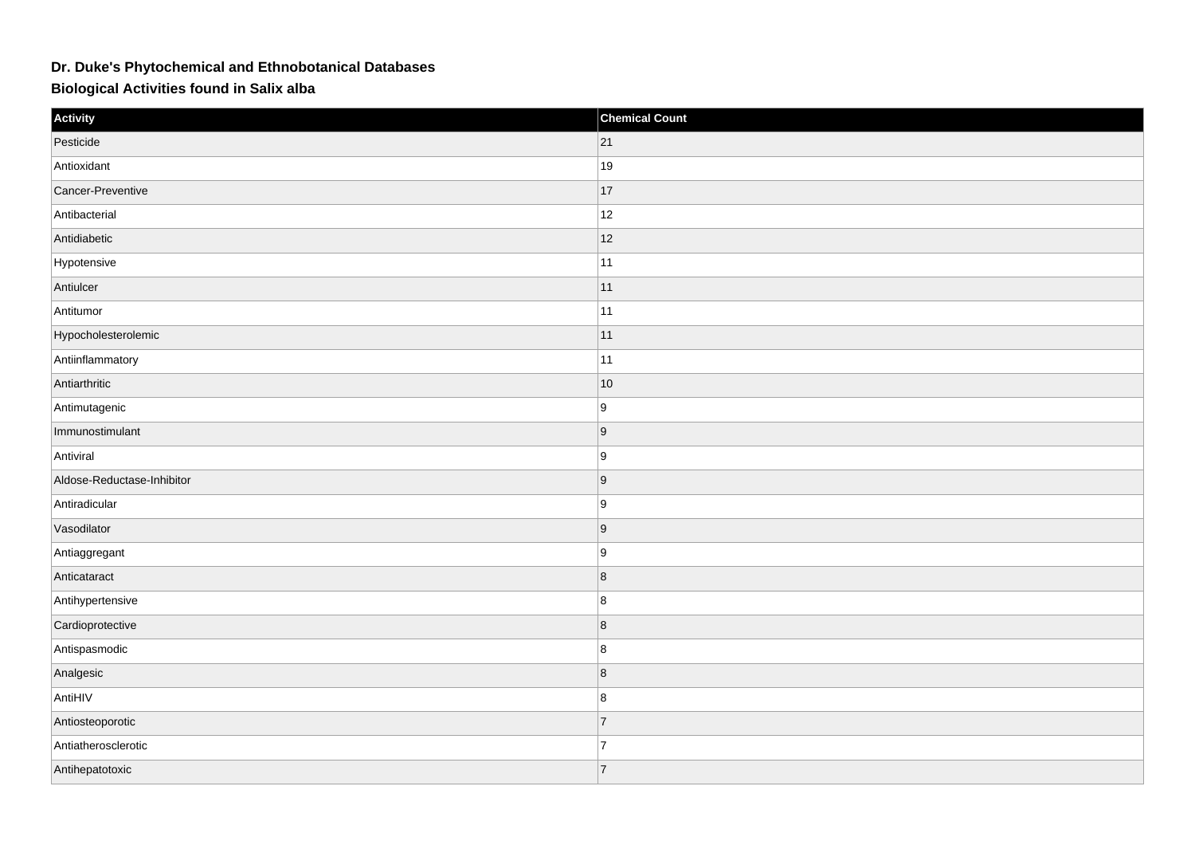## **Dr. Duke's Phytochemical and Ethnobotanical Databases**

## **Biological Activities found in Salix alba**

| Activity                   | <b>Chemical Count</b> |
|----------------------------|-----------------------|
| Pesticide                  | 21                    |
| Antioxidant                | 19                    |
| Cancer-Preventive          | 17                    |
| Antibacterial              | 12                    |
| Antidiabetic               | 12                    |
| Hypotensive                | 11                    |
| Antiulcer                  | 11                    |
| Antitumor                  | 11                    |
| Hypocholesterolemic        | 11                    |
| Antiinflammatory           | 11                    |
| Antiarthritic              | $10$                  |
| Antimutagenic              | ∣9                    |
| Immunostimulant            | 9                     |
| Antiviral                  | ∣9                    |
| Aldose-Reductase-Inhibitor | 9                     |
| Antiradicular              | 9                     |
| Vasodilator                | 9                     |
| Antiaggregant              | ∣9                    |
| Anticataract               | 8                     |
| Antihypertensive           | 8                     |
| Cardioprotective           | 8                     |
| Antispasmodic              | 8                     |
| Analgesic                  | 8                     |
| AntiHIV                    | 8                     |
| Antiosteoporotic           | 7                     |
| Antiatherosclerotic        | $\overline{7}$        |
| Antihepatotoxic            | 7                     |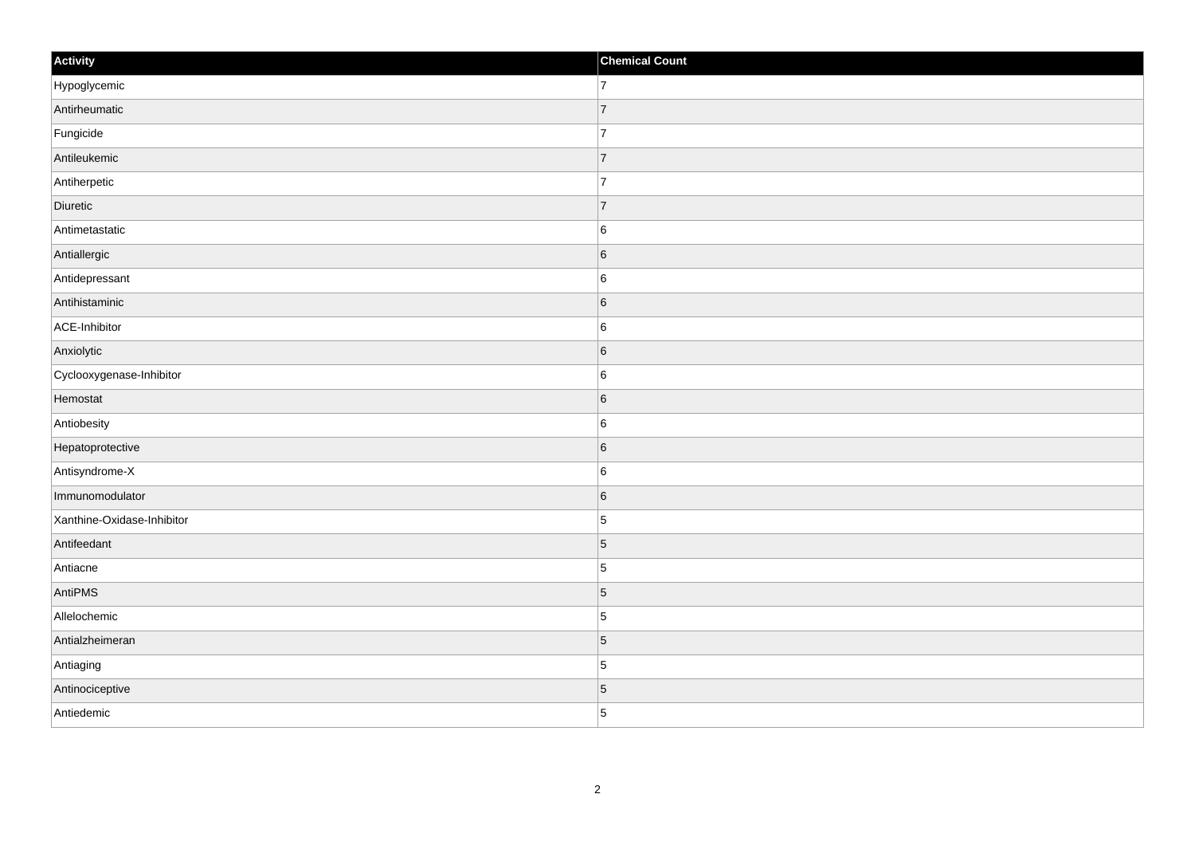| Activity                   | <b>Chemical Count</b> |
|----------------------------|-----------------------|
| Hypoglycemic               | $\overline{7}$        |
| Antirheumatic              | $\overline{7}$        |
| Fungicide                  | $\overline{7}$        |
| Antileukemic               | $\overline{7}$        |
| Antiherpetic               | 7                     |
| Diuretic                   | 7                     |
| Antimetastatic             | $\,6$                 |
| Antiallergic               | $6\phantom{a}$        |
| Antidepressant             | 6                     |
| Antihistaminic             | $\sf 6$               |
| ACE-Inhibitor              | $\,6$                 |
| Anxiolytic                 | 6                     |
| Cyclooxygenase-Inhibitor   | $\,6$                 |
| Hemostat                   | 6                     |
| Antiobesity                | 6                     |
| Hepatoprotective           | $\sf 6$               |
| Antisyndrome-X             | $\,6$                 |
| Immunomodulator            | 6                     |
| Xanthine-Oxidase-Inhibitor | $\overline{5}$        |
| Antifeedant                | $\vert 5 \vert$       |
| Antiacne                   | $\overline{5}$        |
| AntiPMS                    | $\sqrt{5}$            |
| Allelochemic               | $\vert$ 5             |
| Antialzheimeran            | $\vert$ 5             |
| Antiaging                  | $\vert$ 5             |
| Antinociceptive            | $\vert 5 \vert$       |
| Antiedemic                 | $\overline{5}$        |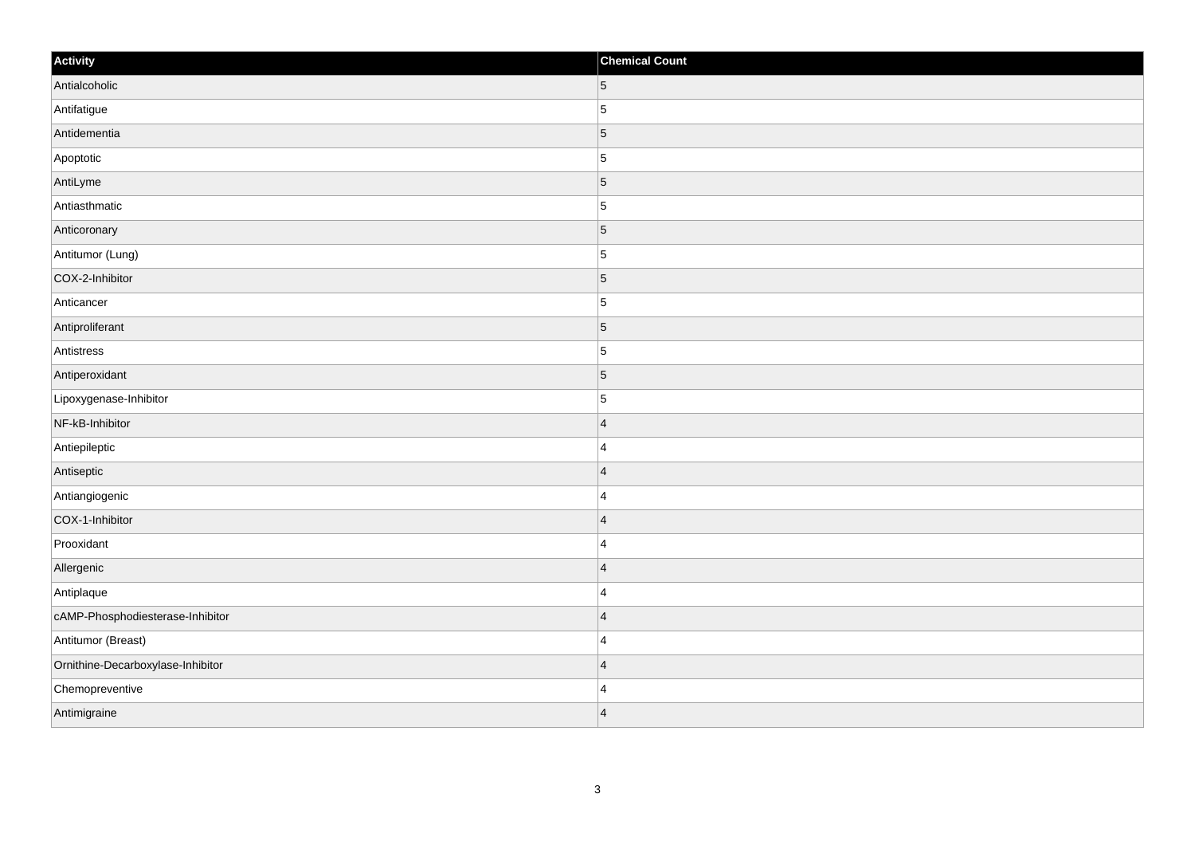| Activity                          | <b>Chemical Count</b> |
|-----------------------------------|-----------------------|
| Antialcoholic                     | $5\phantom{.0}$       |
| Antifatigue                       | 5                     |
| Antidementia                      | $\overline{5}$        |
| Apoptotic                         | $\overline{5}$        |
| AntiLyme                          | $\overline{5}$        |
| Antiasthmatic                     | $\overline{5}$        |
| Anticoronary                      | $\overline{5}$        |
| Antitumor (Lung)                  | 5                     |
| COX-2-Inhibitor                   | $\overline{5}$        |
| Anticancer                        | $\overline{5}$        |
| Antiproliferant                   | $\overline{5}$        |
| Antistress                        | $\overline{5}$        |
| Antiperoxidant                    | $\overline{5}$        |
| Lipoxygenase-Inhibitor            | $\overline{5}$        |
| NF-kB-Inhibitor                   | $\vert 4 \vert$       |
| Antiepileptic                     | $\overline{4}$        |
| Antiseptic                        | $\overline{4}$        |
| Antiangiogenic                    | $\overline{4}$        |
| COX-1-Inhibitor                   | $\overline{4}$        |
| Prooxidant                        | $\overline{4}$        |
| Allergenic                        | $\overline{4}$        |
| Antiplaque                        | $\overline{4}$        |
| cAMP-Phosphodiesterase-Inhibitor  | $\overline{4}$        |
| Antitumor (Breast)                | $\overline{4}$        |
| Ornithine-Decarboxylase-Inhibitor | $\overline{4}$        |
| Chemopreventive                   | $\overline{4}$        |
| Antimigraine                      | $\vert 4 \vert$       |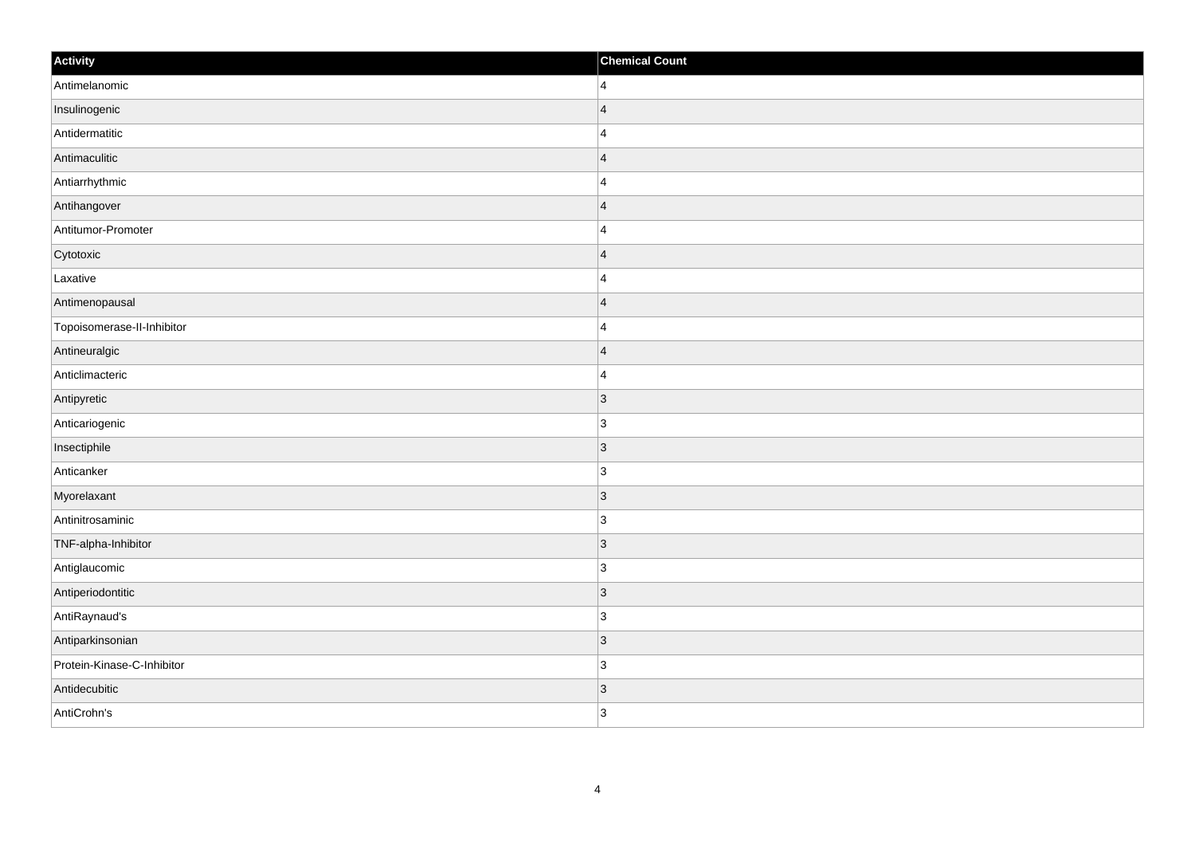| Activity                   | <b>Chemical Count</b> |
|----------------------------|-----------------------|
| Antimelanomic              | $\vert$ 4             |
| Insulinogenic              | $\vert$ 4             |
| Antidermatitic             | 4                     |
| Antimaculitic              | $\vert$ 4             |
| Antiarrhythmic             | 4                     |
| Antihangover               | 4                     |
| Antitumor-Promoter         | $\vert$ 4             |
| Cytotoxic                  | $\vert$ 4             |
| Laxative                   | 4                     |
| Antimenopausal             | $\vert$ 4             |
| Topoisomerase-II-Inhibitor | 4                     |
| Antineuralgic              | $\vert 4$             |
| Anticlimacteric            | $\vert$ 4             |
| Antipyretic                | 3                     |
| Anticariogenic             | 3                     |
| Insectiphile               | $ 3\rangle$           |
| Anticanker                 | 3                     |
| Myorelaxant                | 3                     |
| Antinitrosaminic           | $ 3\rangle$           |
| TNF-alpha-Inhibitor        | $\vert 3 \vert$       |
| Antiglaucomic              | 3                     |
| Antiperiodontitic          | $ 3\rangle$           |
| AntiRaynaud's              | 3                     |
| Antiparkinsonian           | 3                     |
| Protein-Kinase-C-Inhibitor | $ 3\rangle$           |
| Antidecubitic              | $\vert 3 \vert$       |
| AntiCrohn's                | 3                     |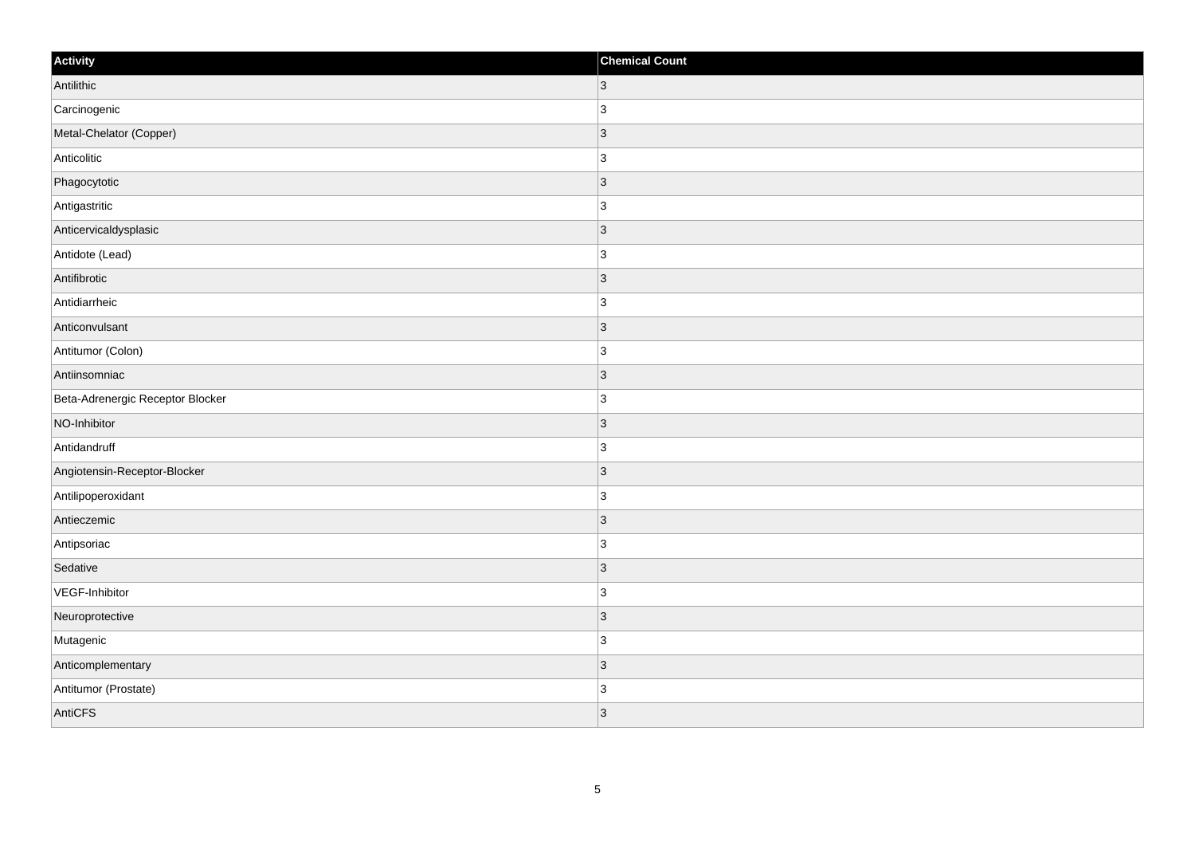| Activity                         | <b>Chemical Count</b> |
|----------------------------------|-----------------------|
| Antilithic                       | $\overline{3}$        |
| Carcinogenic                     | 3                     |
| Metal-Chelator (Copper)          | $\vert$ 3             |
| Anticolitic                      | $\overline{3}$        |
| Phagocytotic                     | 3                     |
| Antigastritic                    | 3                     |
| Anticervicaldysplasic            | $\vert 3 \vert$       |
| Antidote (Lead)                  | $\overline{3}$        |
| Antifibrotic                     | $\vert$ 3             |
| Antidiarrheic                    | $\overline{3}$        |
| Anticonvulsant                   | $\overline{3}$        |
| Antitumor (Colon)                | 3                     |
| Antiinsomniac                    | $\vert 3 \vert$       |
| Beta-Adrenergic Receptor Blocker | $\overline{3}$        |
| NO-Inhibitor                     | 3                     |
| Antidandruff                     | $\overline{3}$        |
| Angiotensin-Receptor-Blocker     | $\overline{3}$        |
| Antilipoperoxidant               | 3                     |
| Antieczemic                      | $\vert$ 3             |
| Antipsoriac                      | $\overline{3}$        |
| Sedative                         | 3                     |
| VEGF-Inhibitor                   | $\overline{3}$        |
| Neuroprotective                  | 3                     |
| Mutagenic                        | 3                     |
| Anticomplementary                | $\vert 3 \vert$       |
| Antitumor (Prostate)             | $\overline{3}$        |
| AntiCFS                          | $\vert$ 3             |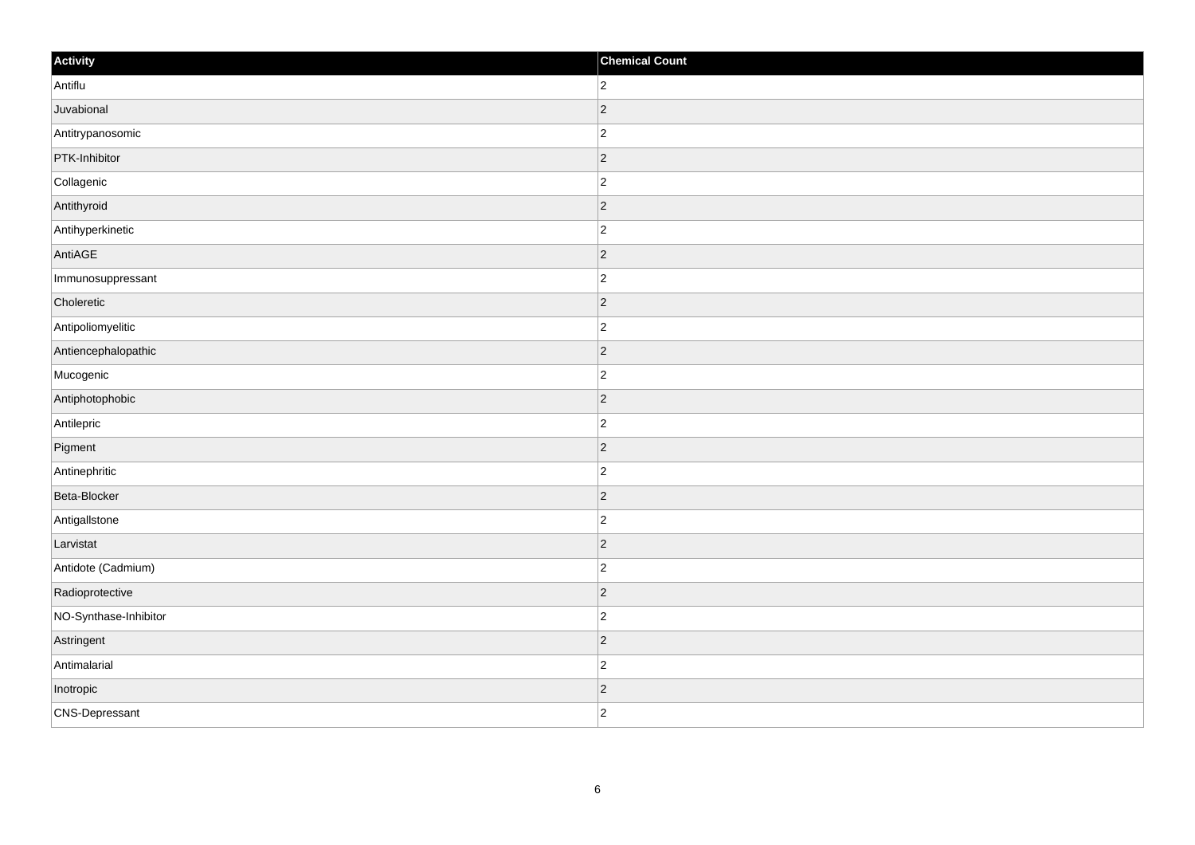| Activity              | <b>Chemical Count</b> |
|-----------------------|-----------------------|
| Antiflu               | $\overline{2}$        |
| Juvabional            | $\overline{c}$        |
| Antitrypanosomic      | $\overline{c}$        |
| PTK-Inhibitor         | $\vert$ 2             |
| Collagenic            | $\overline{2}$        |
| Antithyroid           | $\vert$ 2             |
| Antihyperkinetic      | $\overline{2}$        |
| AntiAGE               | $\overline{2}$        |
| Immunosuppressant     | $\overline{2}$        |
| Choleretic            | $ 2\rangle$           |
| Antipoliomyelitic     | $\overline{2}$        |
| Antiencephalopathic   | $\vert$ 2             |
| Mucogenic             | $\overline{2}$        |
| Antiphotophobic       | $\vert$ 2             |
| Antilepric            | $\overline{2}$        |
| Pigment               | $\vert$ 2             |
| Antinephritic         | $\overline{2}$        |
| Beta-Blocker          | $\vert$ 2             |
| Antigallstone         | $\overline{c}$        |
| Larvistat             | $\vert$ 2             |
| Antidote (Cadmium)    | $\overline{c}$        |
| Radioprotective       | $\vert$ 2             |
| NO-Synthase-Inhibitor | $\overline{2}$        |
| Astringent            | $\vert$ 2             |
| Antimalarial          | $\overline{2}$        |
| Inotropic             | $\vert$ 2             |
| CNS-Depressant        | $\overline{2}$        |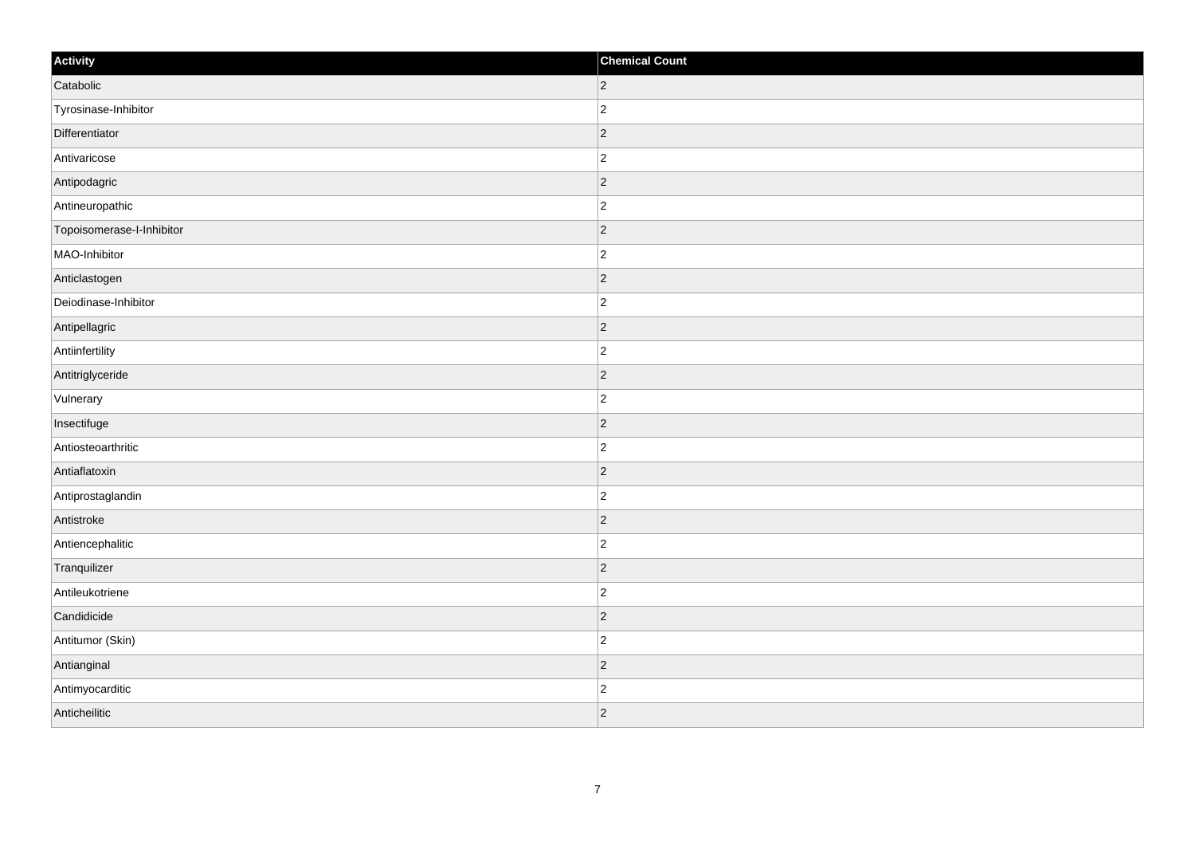| Activity                  | <b>Chemical Count</b> |
|---------------------------|-----------------------|
| Catabolic                 | $ 2\rangle$           |
| Tyrosinase-Inhibitor      | $\overline{2}$        |
| Differentiator            | $ 2\rangle$           |
| Antivaricose              | $\overline{c}$        |
| Antipodagric              | $\overline{2}$        |
| Antineuropathic           | $\overline{c}$        |
| Topoisomerase-I-Inhibitor | $ 2\rangle$           |
| MAO-Inhibitor             | $\overline{2}$        |
| Anticlastogen             | $ 2\rangle$           |
| Deiodinase-Inhibitor      | $ 2\rangle$           |
| Antipellagric             | $\overline{2}$        |
| Antiinfertility           | $ 2\rangle$           |
| Antitriglyceride          | $ 2\rangle$           |
| Vulnerary                 | $\overline{c}$        |
| Insectifuge               | $ 2\rangle$           |
| Antiosteoarthritic        | $\overline{2}$        |
| Antiaflatoxin             | $\overline{2}$        |
| Antiprostaglandin         | $\overline{c}$        |
| Antistroke                | $ 2\rangle$           |
| Antiencephalitic          | $\overline{c}$        |
| Tranquilizer              | $ 2\rangle$           |
| Antileukotriene           | $ 2\rangle$           |
| Candidicide               | $ 2\rangle$           |
| Antitumor (Skin)          | $\overline{c}$        |
| Antianginal               | $ 2\rangle$           |
| Antimyocarditic           | $\overline{c}$        |
| Anticheilitic             | $ 2\rangle$           |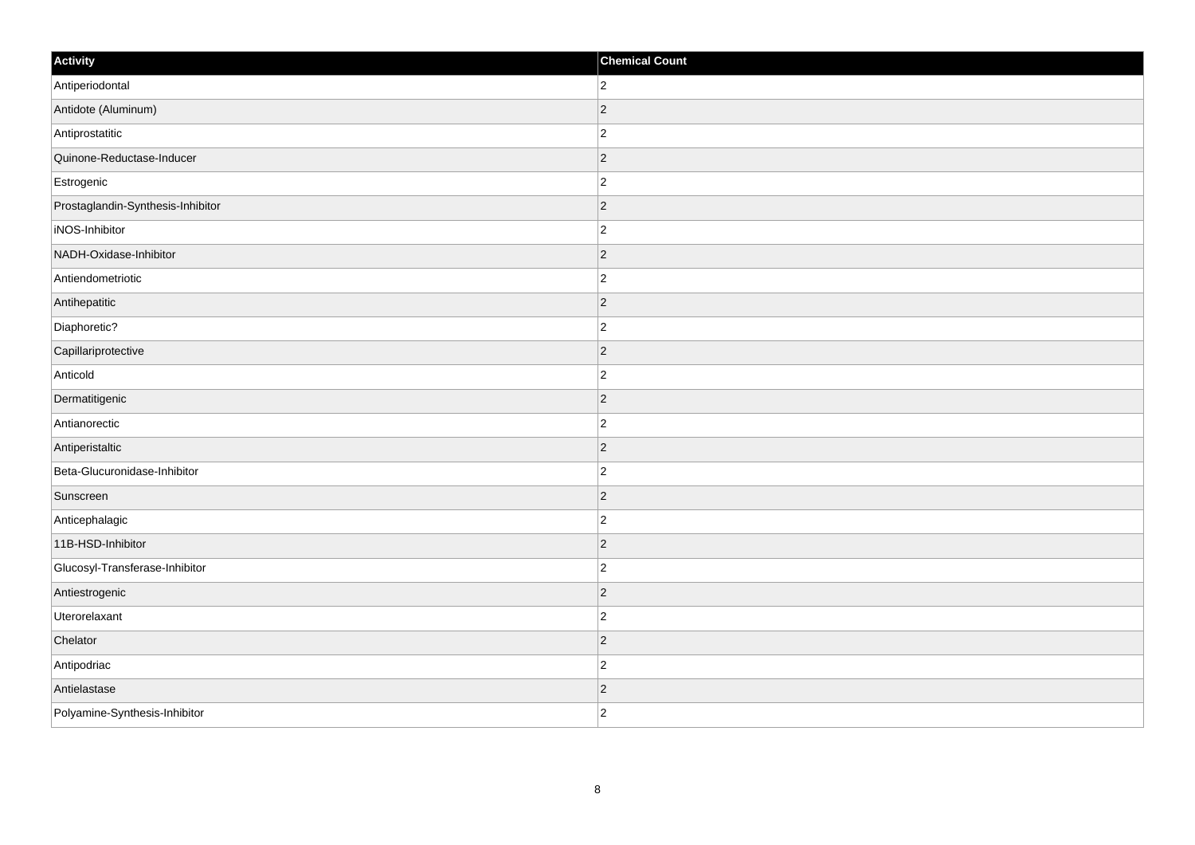| Activity                          | <b>Chemical Count</b> |
|-----------------------------------|-----------------------|
| Antiperiodontal                   | $ 2\rangle$           |
| Antidote (Aluminum)               | $ 2\rangle$           |
| Antiprostatitic                   | $\overline{2}$        |
| Quinone-Reductase-Inducer         | $ 2\rangle$           |
| Estrogenic                        | $ 2\rangle$           |
| Prostaglandin-Synthesis-Inhibitor | $ 2\rangle$           |
| iNOS-Inhibitor                    | $ 2\rangle$           |
| NADH-Oxidase-Inhibitor            | $\overline{2}$        |
| Antiendometriotic                 | $\vert$ 2             |
| Antihepatitic                     | $ 2\rangle$           |
| Diaphoretic?                      | $\overline{2}$        |
| Capillariprotective               | $\overline{2}$        |
| Anticold                          | $ 2\rangle$           |
| Dermatitigenic                    | $\overline{2}$        |
| Antianorectic                     | $ 2\rangle$           |
| Antiperistaltic                   | $ 2\rangle$           |
| Beta-Glucuronidase-Inhibitor      | $ 2\rangle$           |
| Sunscreen                         | $ 2\rangle$           |
| Anticephalagic                    | $ 2\rangle$           |
| 11B-HSD-Inhibitor                 | $\overline{2}$        |
| Glucosyl-Transferase-Inhibitor    | $ 2\rangle$           |
| Antiestrogenic                    | $ 2\rangle$           |
| Uterorelaxant                     | $ 2\rangle$           |
| Chelator                          | $\vert$ 2             |
| Antipodriac                       | $\vert$ 2             |
| Antielastase                      | $\vert$ 2             |
| Polyamine-Synthesis-Inhibitor     | $ 2\rangle$           |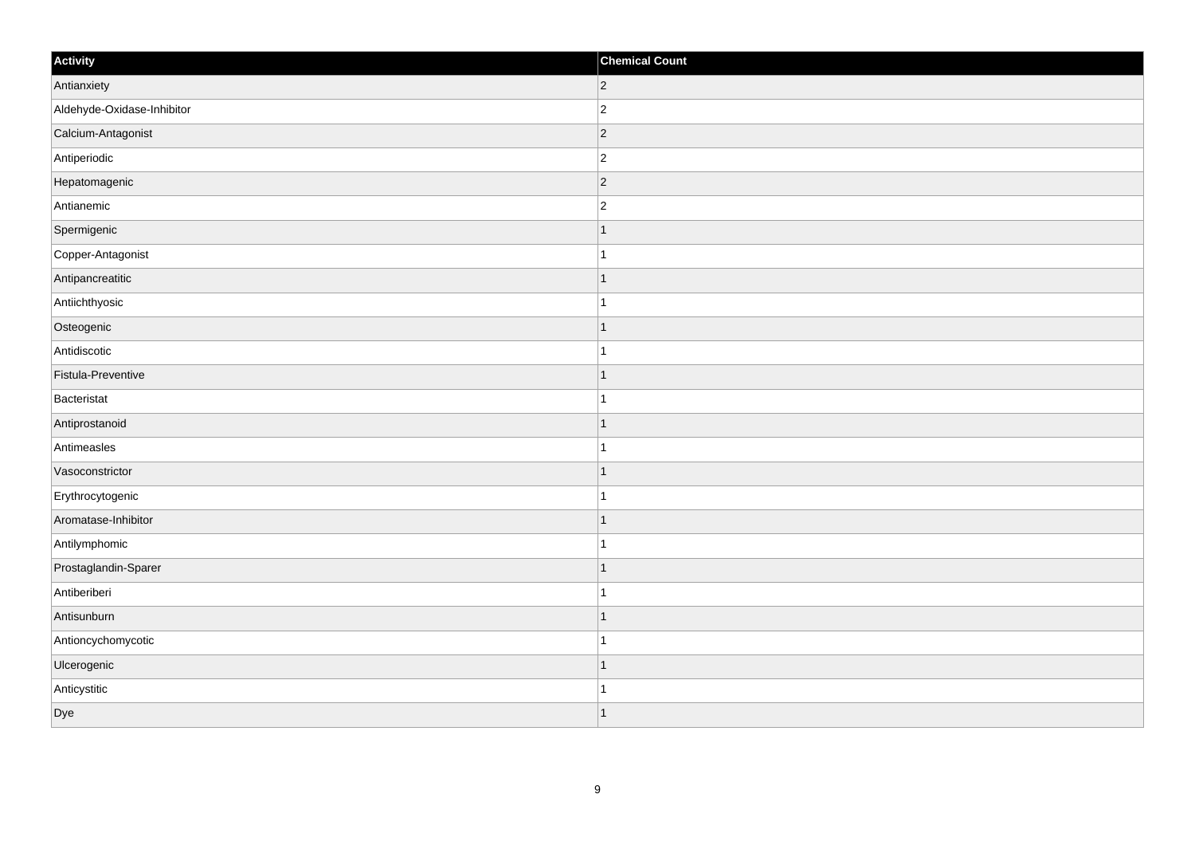| Activity                   | <b>Chemical Count</b> |
|----------------------------|-----------------------|
| Antianxiety                | $ 2\rangle$           |
| Aldehyde-Oxidase-Inhibitor | $\overline{c}$        |
| Calcium-Antagonist         | $ 2\rangle$           |
| Antiperiodic               | $\overline{c}$        |
| Hepatomagenic              | $\overline{c}$        |
| Antianemic                 | $\overline{c}$        |
| Spermigenic                | $\mathbf{1}$          |
| Copper-Antagonist          | $\mathbf{1}$          |
| Antipancreatitic           |                       |
| Antiichthyosic             | 1                     |
| Osteogenic                 | 1                     |
| Antidiscotic               |                       |
| Fistula-Preventive         | $\vert$ 1             |
| Bacteristat                | $\mathbf{1}$          |
| Antiprostanoid             | $\mathbf 1$           |
| Antimeasles                | $\mathbf{1}$          |
| Vasoconstrictor            | $\overline{1}$        |
| Erythrocytogenic           |                       |
| Aromatase-Inhibitor        | $\mathbf{1}$          |
| Antilymphomic              | $\mathbf 1$           |
| Prostaglandin-Sparer       | $\mathbf 1$           |
| Antiberiberi               | $\overline{1}$        |
| Antisunburn                | $\mathbf 1$           |
| Antioncychomycotic         | $\overline{1}$        |
| Ulcerogenic                | $\mathbf 1$           |
| Anticystitic               | 1                     |
| Dye                        | $\overline{1}$        |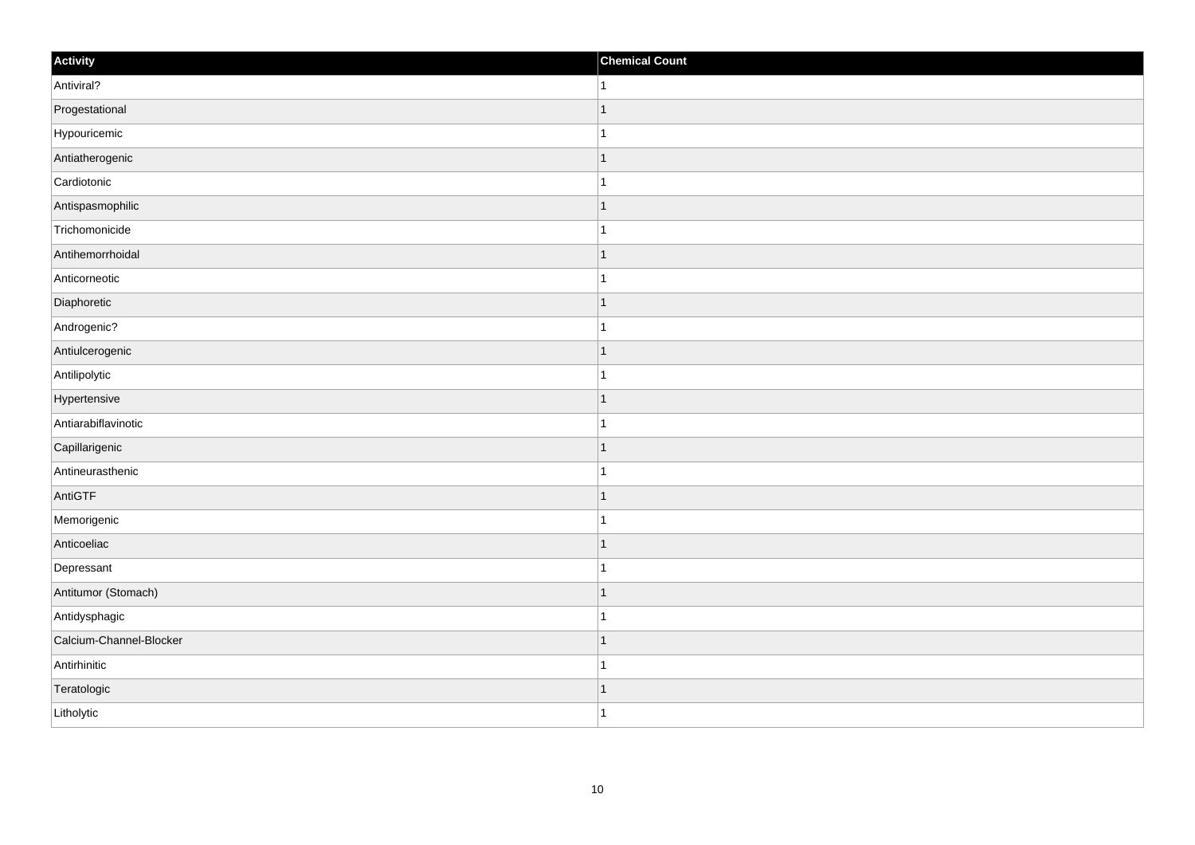| Activity                | <b>Chemical Count</b> |
|-------------------------|-----------------------|
| Antiviral?              | $\vert$ 1             |
| Progestational          | $\overline{1}$        |
| Hypouricemic            |                       |
| Antiatherogenic         | $\mathbf 1$           |
| Cardiotonic             | $\mathbf{1}$          |
| Antispasmophilic        |                       |
| Trichomonicide          | 1                     |
| Antihemorrhoidal        | $\mathbf 1$           |
| Anticorneotic           |                       |
| Diaphoretic             | $\mathbf 1$           |
| Androgenic?             | $\mathbf 1$           |
| Antiulcerogenic         | 1                     |
| Antilipolytic           | 1                     |
| Hypertensive            | $\mathbf 1$           |
| Antiarabiflavinotic     |                       |
| Capillarigenic          | $\mathbf{1}$          |
| Antineurasthenic        | $\mathbf 1$           |
| AntiGTF                 | $\mathbf 1$           |
| Memorigenic             | 1                     |
| Anticoeliac             | 1                     |
| Depressant              | $\overline{1}$        |
| Antitumor (Stomach)     | $\mathbf{1}$          |
| Antidysphagic           | 1                     |
| Calcium-Channel-Blocker | $\overline{1}$        |
| Antirhinitic            | $\overline{1}$        |
| Teratologic             | 1                     |
| Litholytic              | $\overline{1}$        |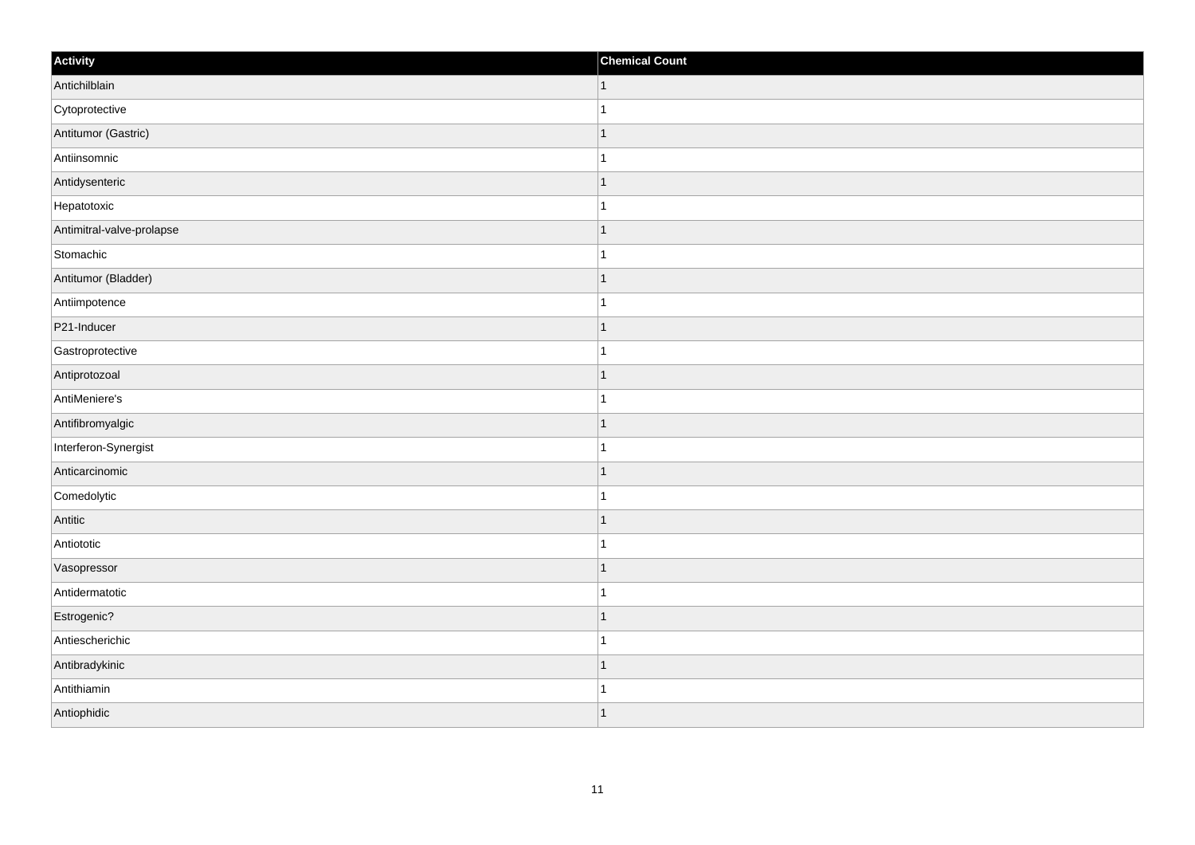| Activity                  | <b>Chemical Count</b> |
|---------------------------|-----------------------|
| Antichilblain             | $\vert$ 1             |
| Cytoprotective            | $\mathbf{1}$          |
| Antitumor (Gastric)       | $\mathbf 1$           |
| Antiinsomnic              | 1                     |
| Antidysenteric            | $\mathbf 1$           |
| Hepatotoxic               |                       |
| Antimitral-valve-prolapse | $\mathbf{1}$          |
| Stomachic                 | $\mathbf{1}$          |
| Antitumor (Bladder)       | $\mathbf 1$           |
| Antiimpotence             | $\mathbf{1}$          |
| P21-Inducer               | $\overline{1}$        |
| Gastroprotective          |                       |
| Antiprotozoal             | $\vert$ 1             |
| AntiMeniere's             | $\mathbf{1}$          |
| Antifibromyalgic          | $\mathbf 1$           |
| Interferon-Synergist      | $\mathbf{1}$          |
| Anticarcinomic            | $\mathbf 1$           |
| Comedolytic               |                       |
| Antitic                   | $\mathbf{1}$          |
| Antiototic                | $\mathbf{1}$          |
| Vasopressor               | $\mathbf 1$           |
| Antidermatotic            | $\overline{1}$        |
| Estrogenic?               | $\mathbf 1$           |
| Antiescherichic           | $\mathbf{1}$          |
| Antibradykinic            | $\mathbf 1$           |
| Antithiamin               | -1                    |
| Antiophidic               | $\mathbf{1}$          |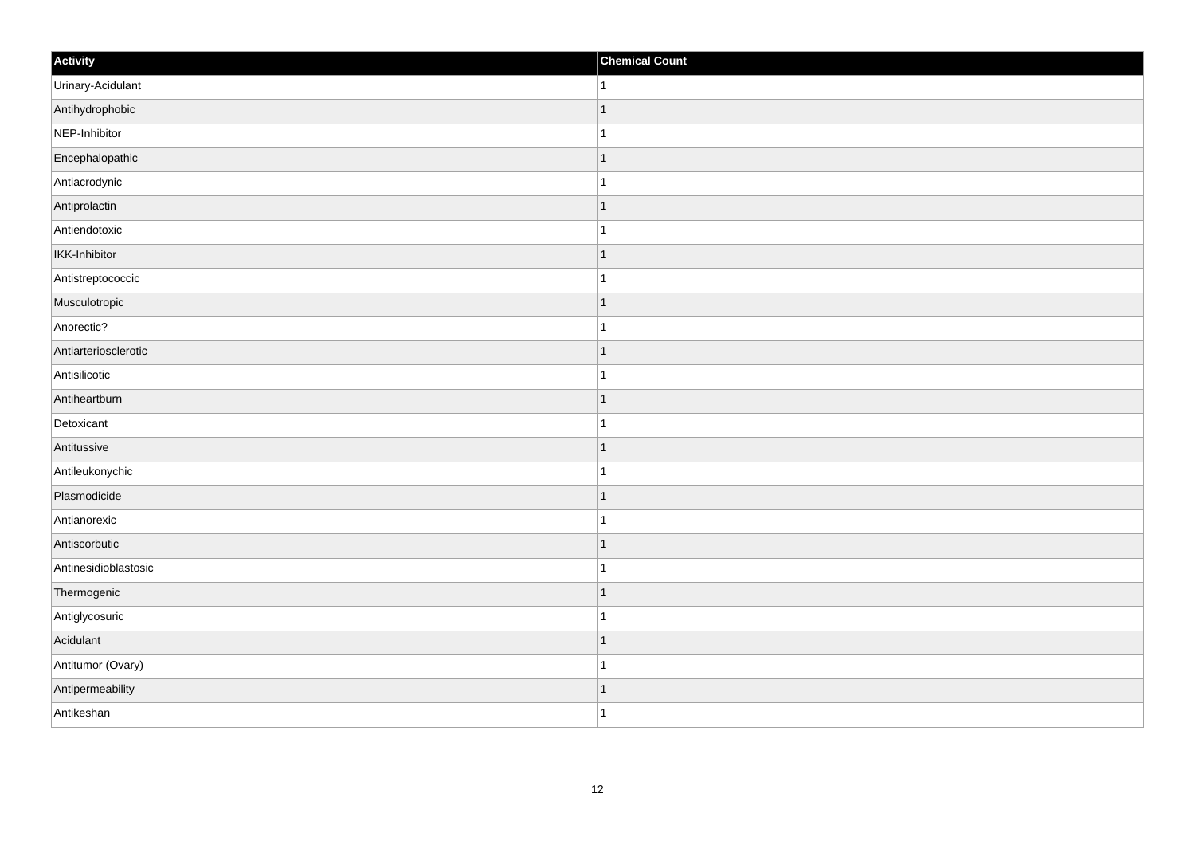| Activity             | <b>Chemical Count</b> |
|----------------------|-----------------------|
| Urinary-Acidulant    | $\vert$ 1             |
| Antihydrophobic      | $\overline{1}$        |
| NEP-Inhibitor        |                       |
| Encephalopathic      | $\mathbf 1$           |
| Antiacrodynic        | $\mathbf{1}$          |
| Antiprolactin        | -1                    |
| Antiendotoxic        | 1                     |
| IKK-Inhibitor        | $\mathbf 1$           |
| Antistreptococcic    |                       |
| Musculotropic        | $\mathbf 1$           |
| Anorectic?           | $\mathbf 1$           |
| Antiarteriosclerotic | $\mathbf 1$           |
| Antisilicotic        | 1                     |
| Antiheartburn        | $\mathbf 1$           |
| Detoxicant           |                       |
| Antitussive          | $\mathbf{1}$          |
| Antileukonychic      | $\mathbf 1$           |
| Plasmodicide         | $\mathbf 1$           |
| Antianorexic         | 1                     |
| Antiscorbutic        | 1                     |
| Antinesidioblastosic | $\overline{1}$        |
| Thermogenic          | $\mathbf{1}$          |
| Antiglycosuric       | 1                     |
| Acidulant            | $\overline{1}$        |
| Antitumor (Ovary)    | $\mathbf 1$           |
| Antipermeability     | 1                     |
| Antikeshan           | $\overline{1}$        |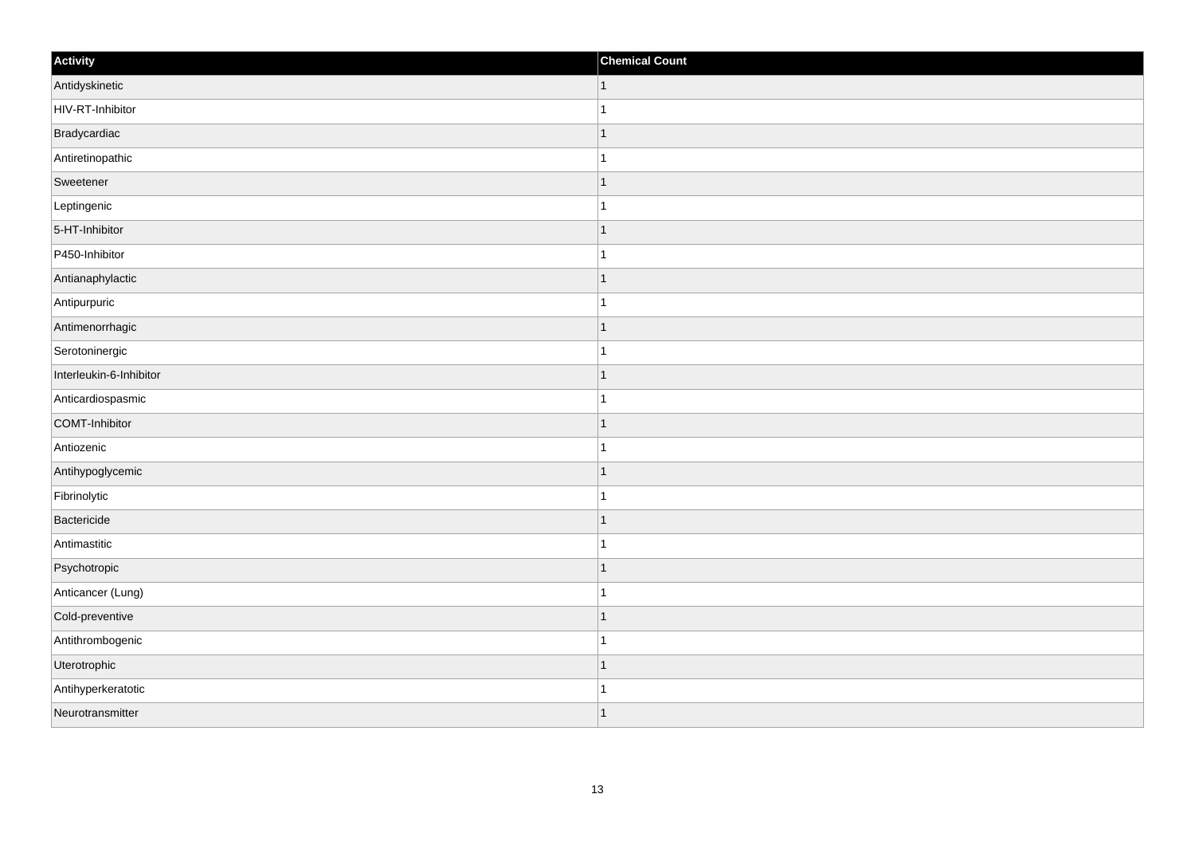| Activity                | <b>Chemical Count</b> |
|-------------------------|-----------------------|
| Antidyskinetic          | $\vert$ 1             |
| HIV-RT-Inhibitor        | $\overline{1}$        |
| Bradycardiac            | 1                     |
| Antiretinopathic        | 1                     |
| Sweetener               | $\mathbf 1$           |
| Leptingenic             |                       |
| 5-HT-Inhibitor          | $\mathbf{1}$          |
| P450-Inhibitor          | $\mathbf{1}$          |
| Antianaphylactic        | $\mathbf 1$           |
| Antipurpuric            | 1                     |
| Antimenorrhagic         | 1                     |
| Serotoninergic          |                       |
| Interleukin-6-Inhibitor | $\vert$ 1             |
| Anticardiospasmic       | $\mathbf{1}$          |
| COMT-Inhibitor          | $\mathbf 1$           |
| Antiozenic              | $\mathbf{1}$          |
| Antihypoglycemic        | $\mathbf 1$           |
| Fibrinolytic            |                       |
| Bactericide             | $\mathbf{1}$          |
| Antimastitic            | $\mathbf 1$           |
| Psychotropic            | $\mathbf 1$           |
| Anticancer (Lung)       | $\mathbf{1}$          |
| Cold-preventive         | $\mathbf 1$           |
| Antithrombogenic        | $\mathbf{1}$          |
| Uterotrophic            | $\mathbf{1}$          |
| Antihyperkeratotic      | 1                     |
| Neurotransmitter        | 1                     |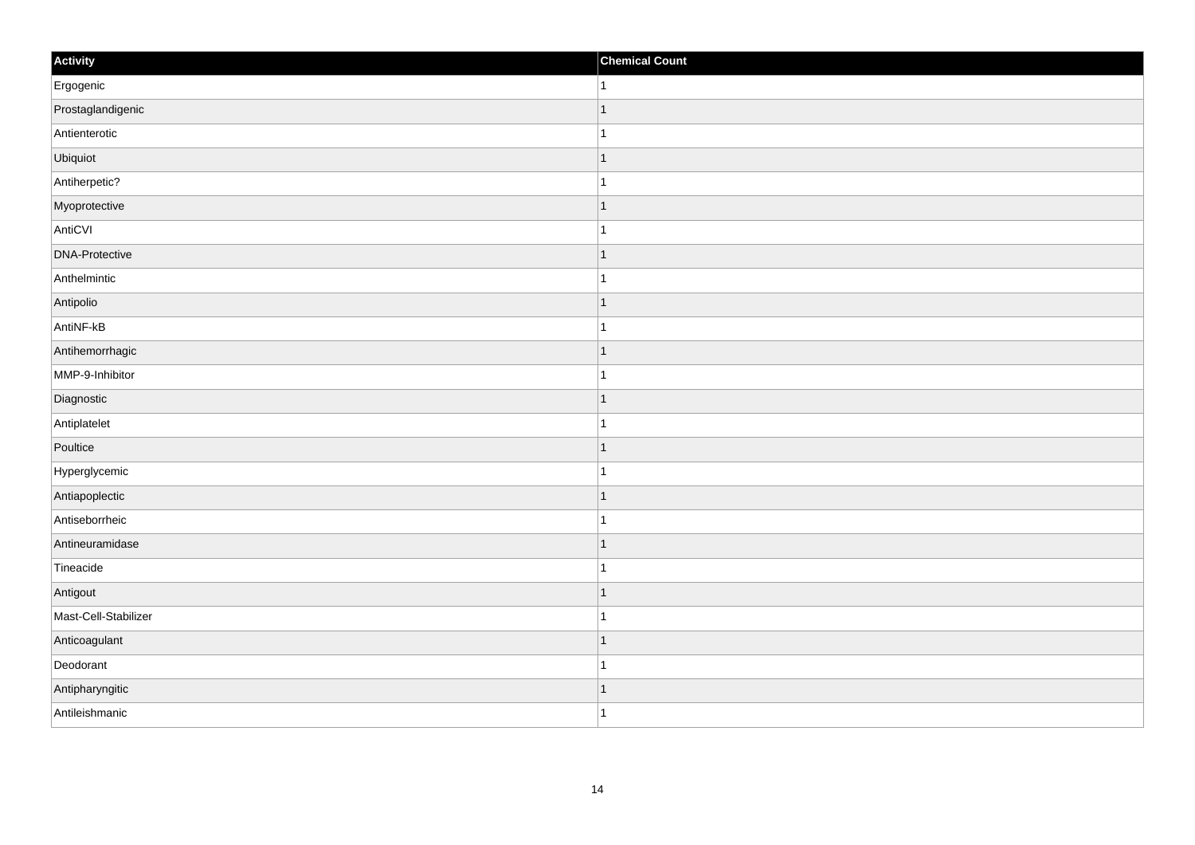| Activity              | <b>Chemical Count</b> |
|-----------------------|-----------------------|
| Ergogenic             | $\vert$ 1             |
| Prostaglandigenic     | $\mathbf{1}$          |
| Antienterotic         |                       |
| Ubiquiot              | $\overline{1}$        |
| Antiherpetic?         | $\overline{1}$        |
| Myoprotective         | $\mathbf 1$           |
| AntiCVI               | $\mathbf 1$           |
| <b>DNA-Protective</b> | $\mathbf 1$           |
| Anthelmintic          |                       |
| Antipolio             | $\mathbf{1}$          |
| AntiNF-kB             | $\mathbf{1}$          |
| Antihemorrhagic       | $\mathbf 1$           |
| MMP-9-Inhibitor       | $\mathbf{1}$          |
| Diagnostic            | $\mathbf 1$           |
| Antiplatelet          | 1                     |
| Poultice              | $\vert$ 1             |
| Hyperglycemic         | $\mathbf 1$           |
| Antiapoplectic        | $\vert$ 1             |
| Antiseborrheic        | $\mathbf{1}$          |
| Antineuramidase       | 1                     |
| Tineacide             | $\mathbf{1}$          |
| Antigout              | $\vert$ 1             |
| Mast-Cell-Stabilizer  | $\mathbf 1$           |
| Anticoagulant         | $\mathbf 1$           |
| Deodorant             | $\mathbf{1}$          |
| Antipharyngitic       | $\vert$ 1             |
| Antileishmanic        | $\overline{1}$        |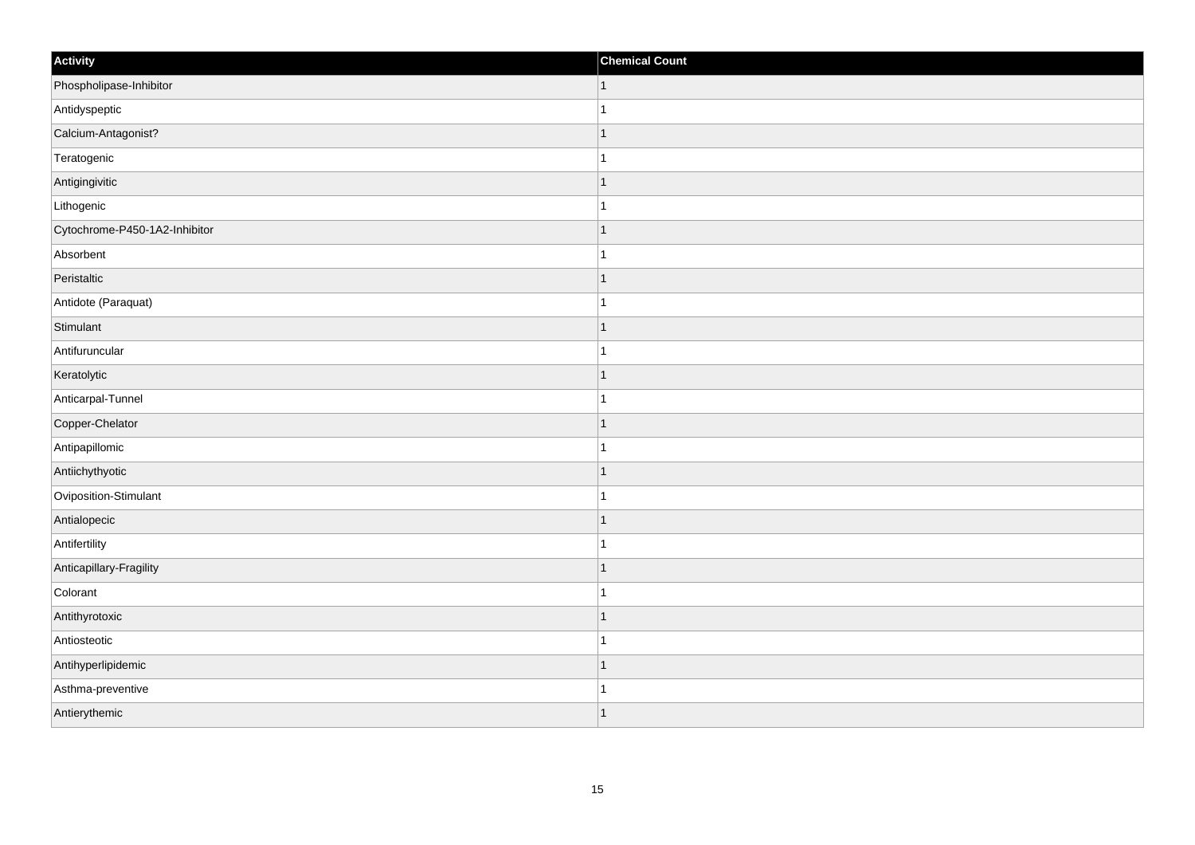| Activity                      | <b>Chemical Count</b>    |
|-------------------------------|--------------------------|
| Phospholipase-Inhibitor       | $\vert$ 1                |
| Antidyspeptic                 |                          |
| Calcium-Antagonist?           |                          |
| Teratogenic                   |                          |
| Antigingivitic                |                          |
| Lithogenic                    |                          |
| Cytochrome-P450-1A2-Inhibitor | $\overline{\phantom{a}}$ |
| Absorbent                     | 1                        |
| Peristaltic                   |                          |
| Antidote (Paraquat)           |                          |
| Stimulant                     |                          |
| Antifuruncular                |                          |
| Keratolytic                   | -1                       |
| Anticarpal-Tunnel             | 1                        |
| Copper-Chelator               |                          |
| Antipapillomic                |                          |
| Antiichythyotic               |                          |
| Oviposition-Stimulant         |                          |
| Antialopecic                  | 1                        |
| Antifertility                 |                          |
| Anticapillary-Fragility       |                          |
| Colorant                      |                          |
| Antithyrotoxic                |                          |
| Antiosteotic                  |                          |
| Antihyperlipidemic            |                          |
| Asthma-preventive             |                          |
| Antierythemic                 |                          |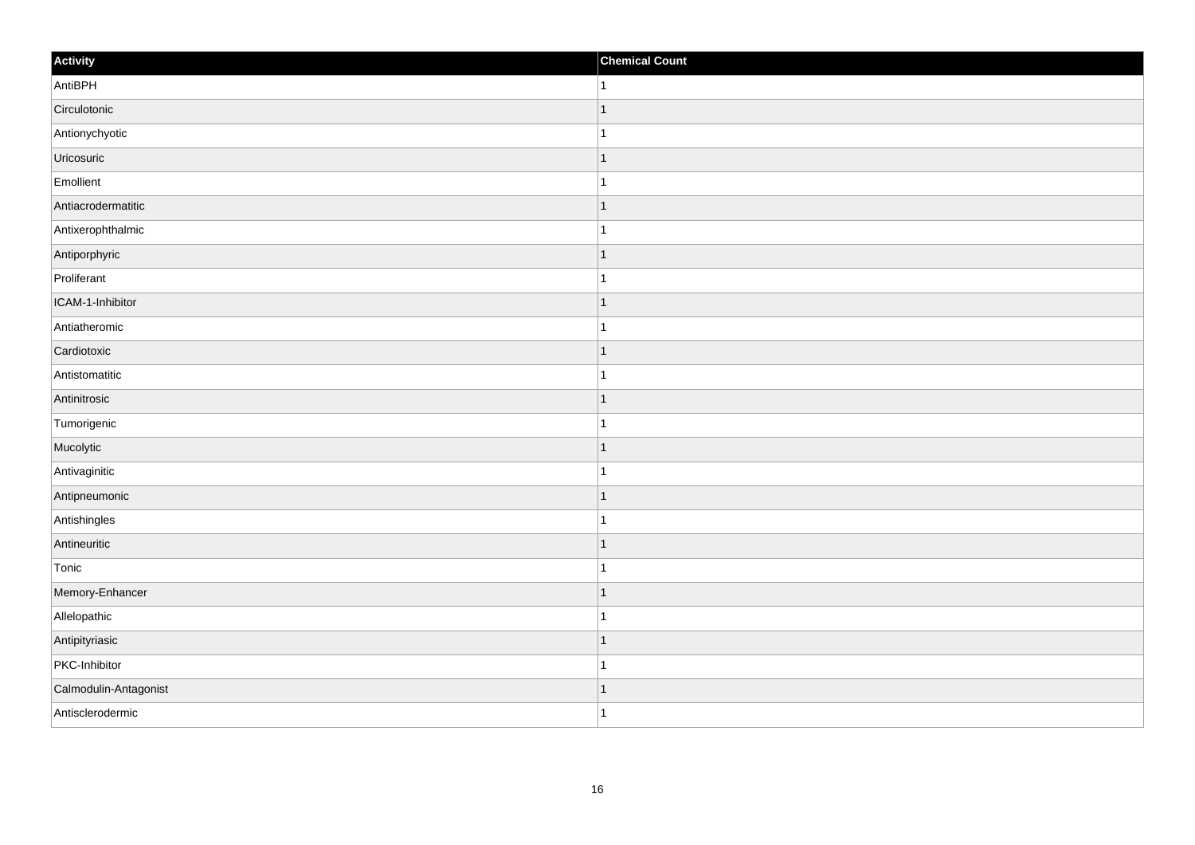| Activity              | <b>Chemical Count</b>    |
|-----------------------|--------------------------|
| AntiBPH               | 1                        |
| Circulotonic          |                          |
| Antionychyotic        |                          |
| Uricosuric            | 1                        |
| Emollient             | 1                        |
| Antiacrodermatitic    |                          |
| Antixerophthalmic     |                          |
| Antiporphyric         | 1                        |
| Proliferant           |                          |
| ICAM-1-Inhibitor      | -1                       |
| Antiatheromic         | 1                        |
| Cardiotoxic           |                          |
| Antistomatitic        |                          |
| Antinitrosic          |                          |
| Tumorigenic           |                          |
| Mucolytic             | 1                        |
| Antivaginitic         | 1                        |
| Antipneumonic         | ٠                        |
| Antishingles          |                          |
| Antineuritic          | $\overline{\phantom{a}}$ |
| Tonic                 |                          |
| Memory-Enhancer       | 1                        |
| Allelopathic          | 1                        |
| Antipityriasic        |                          |
| PKC-Inhibitor         |                          |
| Calmodulin-Antagonist | 1                        |
| Antisclerodermic      | 1                        |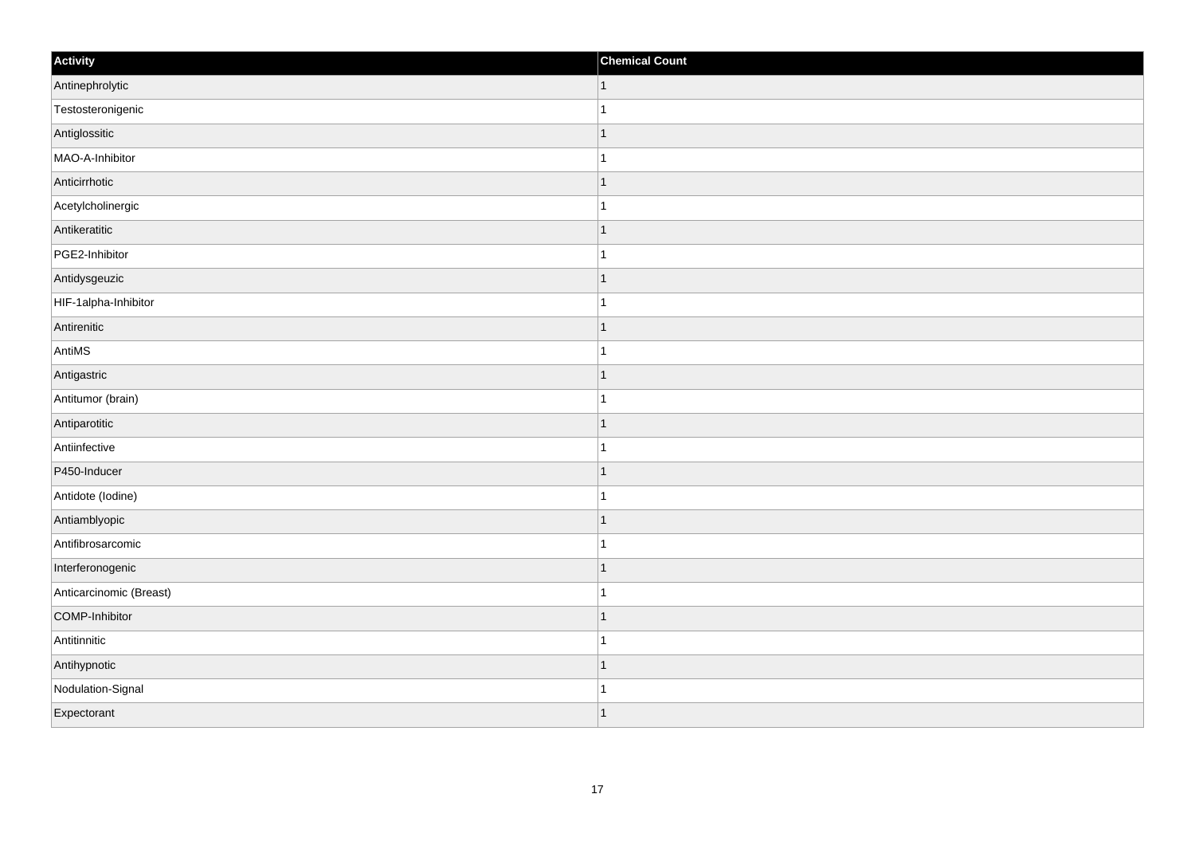| Activity                | <b>Chemical Count</b> |
|-------------------------|-----------------------|
| Antinephrolytic         | $\vert$ 1             |
| Testosteronigenic       | $\overline{1}$        |
| Antiglossitic           | 1                     |
| MAO-A-Inhibitor         | 1                     |
| Anticirrhotic           | $\mathbf 1$           |
| Acetylcholinergic       |                       |
| Antikeratitic           | $\mathbf{1}$          |
| PGE2-Inhibitor          | $\mathbf{1}$          |
| Antidysgeuzic           | $\mathbf 1$           |
| HIF-1alpha-Inhibitor    | 1                     |
| Antirenitic             | 1                     |
| AntiMS                  |                       |
| Antigastric             | $\vert$ 1             |
| Antitumor (brain)       | $\mathbf{1}$          |
| Antiparotitic           | $\mathbf 1$           |
| Antiinfective           | $\mathbf{1}$          |
| P450-Inducer            | $\overline{1}$        |
| Antidote (lodine)       |                       |
| Antiamblyopic           | $\mathbf{1}$          |
| Antifibrosarcomic       | $\mathbf 1$           |
| Interferonogenic        | $\mathbf 1$           |
| Anticarcinomic (Breast) | $\overline{1}$        |
| COMP-Inhibitor          | $\mathbf 1$           |
| Antitinnitic            | $\mathbf{1}$          |
| Antihypnotic            | $\mathbf{1}$          |
| Nodulation-Signal       | -1                    |
| Expectorant             | $\overline{1}$        |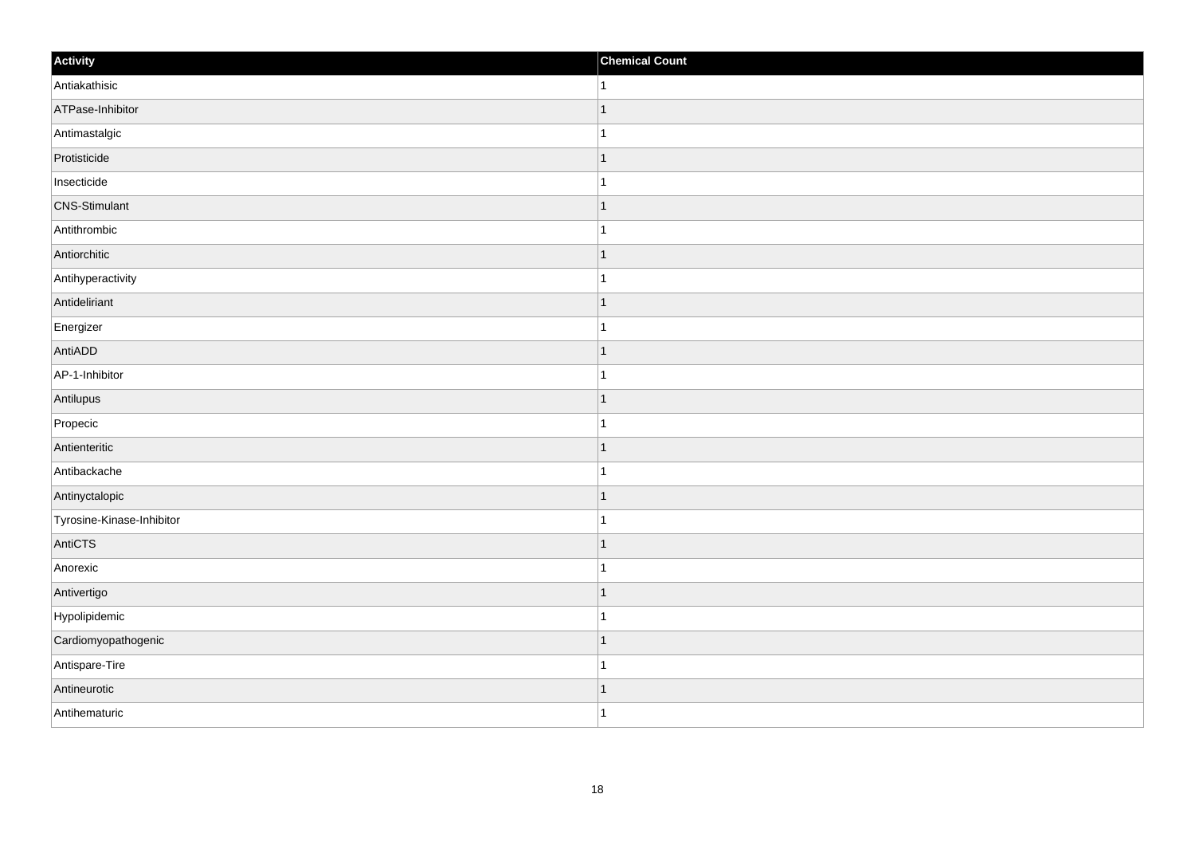| Activity                  | <b>Chemical Count</b>    |
|---------------------------|--------------------------|
| Antiakathisic             | 1                        |
| ATPase-Inhibitor          |                          |
| Antimastalgic             |                          |
| Protisticide              | 1                        |
| Insecticide               | 1                        |
| <b>CNS-Stimulant</b>      |                          |
| Antithrombic              |                          |
| Antiorchitic              | -1                       |
| Antihyperactivity         |                          |
| Antideliriant             | -1                       |
| Energizer                 | 1                        |
| AntiADD                   |                          |
| AP-1-Inhibitor            |                          |
| Antilupus                 |                          |
| Propecic                  |                          |
| Antienteritic             | 1                        |
| Antibackache              | 1                        |
| Antinyctalopic            |                          |
| Tyrosine-Kinase-Inhibitor |                          |
| AntiCTS                   | -1                       |
| Anorexic                  |                          |
| Antivertigo               | $\overline{\phantom{a}}$ |
| Hypolipidemic             |                          |
| Cardiomyopathogenic       | $\overline{\phantom{a}}$ |
| Antispare-Tire            | -1                       |
| Antineurotic              | -1                       |
| Antihematuric             | $\overline{1}$           |